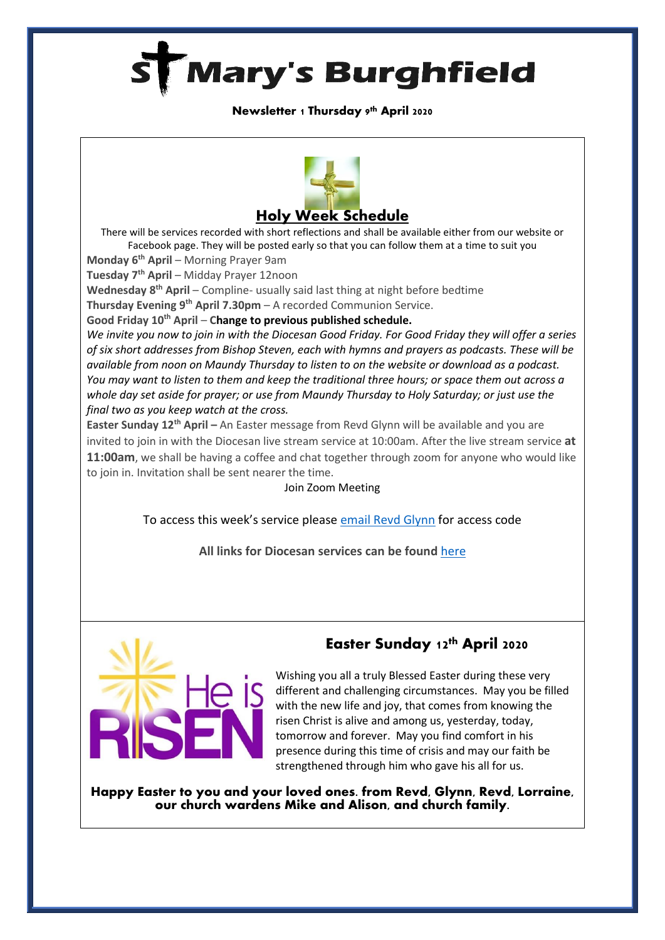

#### **Newsletter 1 Thursday 9th April 2020**



There will be services recorded with short reflections and shall be available either from our website or Facebook page. They will be posted early so that you can follow them at a time to suit you

**Monday 6th April** – Morning Prayer 9am

**Tuesday 7th April** – Midday Prayer 12noon

**Wednesday 8th April** – Compline- usually said last thing at night before bedtime

**Thursday Evening 9 th April 7.30pm** – A recorded Communion Service.

**Good Friday 10th April** – **Change to previous published schedule.**

*We invite you now to join in with the Diocesan Good Friday. For Good Friday they will offer a series of six short addresses from Bishop Steven, each with hymns and prayers as podcasts. These will be available from noon on Maundy Thursday to listen to on the website or download as a podcast. You may want to listen to them and keep the traditional three hours; or space them out across a whole day set aside for prayer; or use from Maundy Thursday to Holy Saturday; or just use the final two as you keep watch at the cross.*

**Easter Sunday 12th April –** An Easter message from Revd Glynn will be available and you are invited to join in with the Diocesan live stream service at 10:00am. After the live stream service **at 11:00am**, we shall be having a coffee and chat together through zoom for anyone who would like to join in. Invitation shall be sent nearer the time.

#### Join Zoom Meeting

To access this week's service please [email Revd Glynn](mailto:Revd%20Glynn%20Lautenbach%20%3cglynn.lautenbach@stmarysburghfield.org%3e?subject=Sunday%20service%20Zoom%20access%20code%20) for access code

**All links for Diocesan services can be found** [here](https://www.oxford.anglican.org/coronavirus-covid-19/livestream/?utm_source=Diocese+of+Oxford+Mailing+Lists&utm_campaign=850c4f26e1-EMAIL_CAMPAIGN_2018_06_07_04_41_COPY_01&utm_medium=email&utm_term=0_5e6b832234-850c4f26e1-339828605)



## Easter Sunday 12th April 2020

Wishing you all a truly Blessed Easter during these very different and challenging circumstances. May you be filled with the new life and joy, that comes from knowing the risen Christ is alive and among us, yesterday, today, tomorrow and forever. May you find comfort in his presence during this time of crisis and may our faith be strengthened through him who gave his all for us.

Happy Easter to you and your loved ones. from Revd, Glynn, Revd, Lorraine, our church wardens Mike and Alison, and church family.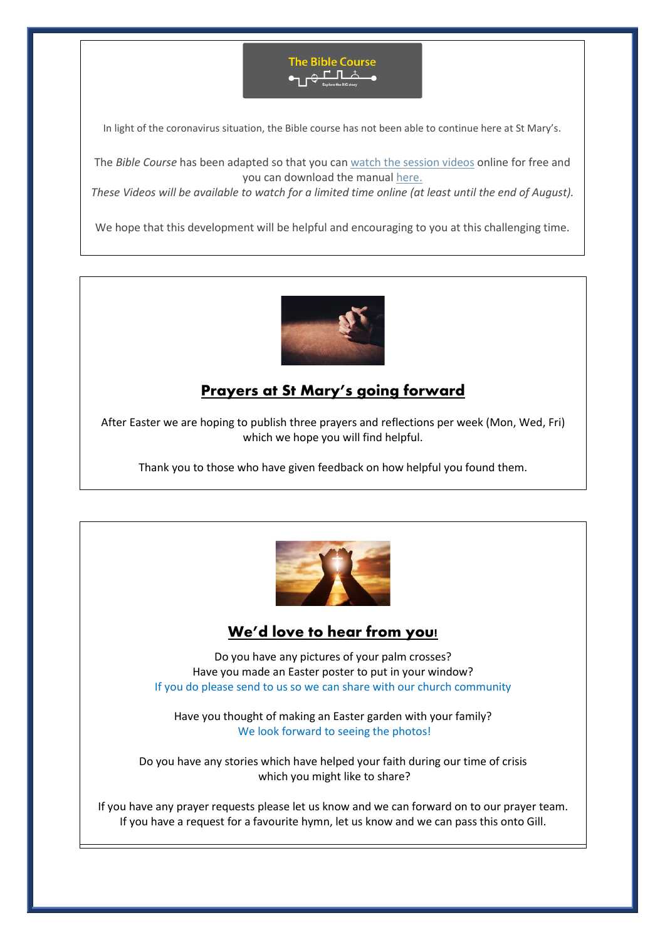

In light of the coronavirus situation, the Bible course has not been able to continue here at St Mary's.

The *Bible Course* has been adapted so that you can [watch the session videos](https://nam10.safelinks.protection.outlook.com/?url=https%3A%2F%2Fbiblesociety.cmail20.com%2Ft%2Fr-l-jhdukltd-ociikituu-y%2F&data=02%7C01%7C%7Cfd57895af51f4733569f08d7db934f7b%7C84df9e7fe9f640afb435aaaaaaaaaaaa%7C1%7C0%7C637219298040927676&sdata=0mtSFb%2FiBgKymiy5gKIQ5nx8eolQj7TI2g63ZPqCB%2BA%3D&reserved=0) online for free and you can download the manual [here.](https://nam10.safelinks.protection.outlook.com/?url=https%3A%2F%2Fbiblesociety.cmail20.com%2Ft%2Fr-l-jhdukltd-ociikituu-j%2F&data=02%7C01%7C%7Cfd57895af51f4733569f08d7db934f7b%7C84df9e7fe9f640afb435aaaaaaaaaaaa%7C1%7C0%7C637219298040927676&sdata=WfKTIQ1j87TpMkYLpyuIsrDYJDsve9t8g3WHUIFTMdk%3D&reserved=0)

These Videos will be available to watch for a limited time online (at least until the end of August).

We hope that this development will be helpful and encouraging to you at this challenging time.



# **Prayers at St Mary's going forward**

After Easter we are hoping to publish three prayers and reflections per week (Mon, Wed, Fri) which we hope you will find helpful.

Thank you to those who have given feedback on how helpful you found them.



### **We'd love to hear from you!**

Do you have any pictures of your palm crosses? Have you made an Easter poster to put in your window? If you do please send to us so we can share with our church community

Have you thought of making an Easter garden with your family? We look forward to seeing the photos!

Do you have any stories which have helped your faith during our time of crisis which you might like to share?

If you have any prayer requests please let us know and we can forward on to our prayer team. If you have a request for a favourite hymn, let us know and we can pass this onto Gill.